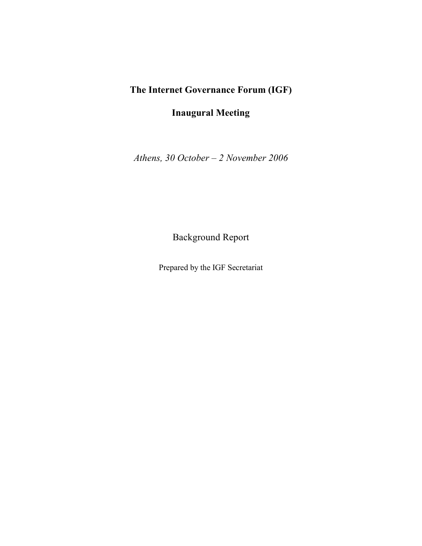## **The Internet Governance Forum (IGF)**

**Inaugural Meeting**

*Athens, 30 October – 2 November 2006*

Background Report

Prepared by the IGF Secretariat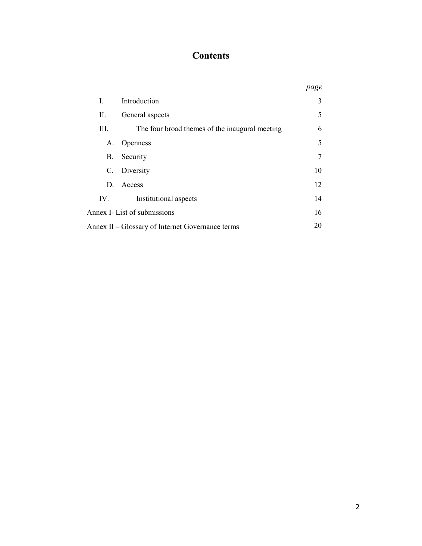# **Contents**

|                                                        |                                                | page |
|--------------------------------------------------------|------------------------------------------------|------|
| L                                                      | Introduction                                   | 3    |
| П.                                                     | General aspects                                | 5    |
| III.                                                   | The four broad themes of the inaugural meeting | 6    |
| А.                                                     | Openness                                       | 5    |
| B.                                                     | Security                                       | 7    |
|                                                        | C. Diversity                                   | 10   |
|                                                        | D. Access                                      | 12   |
| IV.                                                    | Institutional aspects                          | 14   |
| Annex I- List of submissions                           |                                                | 16   |
| 20<br>Annex II – Glossary of Internet Governance terms |                                                |      |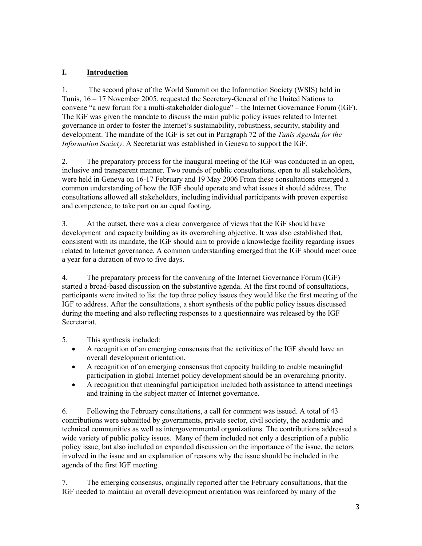#### **I. Introduction**

1. The second phase of the World Summit on the Information Society (WSIS) held in Tunis, 16 – 17 November 2005, requested the Secretary-General of the United Nations to convene "a new forum for a multi-stakeholder dialogue" – the Internet Governance Forum (IGF). The IGF was given the mandate to discuss the main public policy issues related to Internet governance in order to foster the Internet's sustainability, robustness, security, stability and development. The mandate of the IGF is set out in Paragraph 72 of the *Tunis Agenda for the Information Society*. A Secretariat was established in Geneva to support the IGF.

2. The preparatory process for the inaugural meeting of the IGF was conducted in an open, inclusive and transparent manner. Two rounds of public consultations, open to all stakeholders, were held in Geneva on 16-17 February and 19 May 2006 From these consultations emerged a common understanding of how the IGF should operate and what issues it should address. The consultations allowed all stakeholders, including individual participants with proven expertise and competence, to take part on an equal footing.

3. At the outset, there was a clear convergence of views that the IGF should have development and capacity building as its overarching objective. It was also established that, consistent with its mandate, the IGF should aim to provide a knowledge facility regarding issues related to Internet governance. A common understanding emerged that the IGF should meet once a year for a duration of two to five days.

4. The preparatory process for the convening of the Internet Governance Forum (IGF) started a broad-based discussion on the substantive agenda. At the first round of consultations, participants were invited to list the top three policy issues they would like the first meeting of the IGF to address. After the consultations, a short synthesis of the public policy issues discussed during the meeting and also reflecting responses to a questionnaire was released by the IGF Secretariat.

5. This synthesis included:

- A recognition of an emerging consensus that the activities of the IGF should have an overall development orientation.
- · A recognition of an emerging consensus that capacity building to enable meaningful participation in global Internet policy development should be an overarching priority.
- · A recognition that meaningful participation included both assistance to attend meetings and training in the subject matter of Internet governance.

6. Following the February consultations, a call for comment was issued. A total of 43 contributions were submitted by governments, private sector, civil society, the academic and technical communities as well as intergovernmental organizations. The contributions addressed a wide variety of public policy issues. Many of them included not only a description of a public policy issue, but also included an expanded discussion on the importance of the issue, the actors involved in the issue and an explanation of reasons why the issue should be included in the agenda of the first IGF meeting.

7. The emerging consensus, originally reported after the February consultations, that the IGF needed to maintain an overall development orientation was reinforced by many of the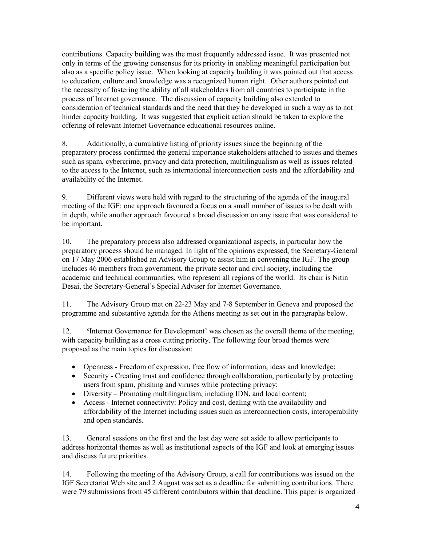contributions. Capacity building was the most frequently addressed issue. It was presented not only in terms of the growing consensus for its priority in enabling meaningful participation but also as a specific policy issue. When looking at capacity building it was pointed out that access to education, culture and knowledge was a recognized human right. Other authors pointed out the necessity of fostering the ability of all stakeholders from all countries to participate in the process of Internet governance. The discussion of capacity building also extended to consideration of technical standards and the need that they be developed in such a way as to not hinder capacity building. It was suggested that explicit action should be taken to explore the offering of relevant Internet Governance educational resources online.

8. Additionally, a cumulative listing of priority issues since the beginning of the preparatory process confirmed the general importance stakeholders attached to issues and themes such as spam, cybercrime, privacy and data protection, multilingualism as well as issues related to the access to the Internet, such as international interconnection costs and the affordability and availability of the Internet.

9. Different views were held with regard to the structuring of the agenda of the inaugural meeting of the IGF: one approach favoured a focus on a small number of issues to be dealt with in depth, while another approach favoured a broad discussion on any issue that was considered to be important.

10. The preparatory process also addressed organizational aspects, in particular how the preparatory process should be managed. In light of the opinions expressed, the Secretary-General on 17 May 2006 established an Advisory Group to assist him in convening the IGF. The group includes 46 members from government, the private sector and civil society, including the academic and technical communities, who represent all regions of the world. Its chair is Nitin Desai, the Secretary-General's Special Adviser for Internet Governance.

11. The Advisory Group met on 22-23 May and 7-8 September in Geneva and proposed the programme and substantive agenda for the Athens meeting as set out in the paragraphs below.

12. **'**Internet Governance for Development' was chosen as the overall theme of the meeting, with capacity building as a cross cutting priority. The following four broad themes were proposed as the main topics for discussion:

- · Openness Freedom of expression, free flow of information, ideas and knowledge;
- Security Creating trust and confidence through collaboration, particularly by protecting users from spam, phishing and viruses while protecting privacy;
- Diversity Promoting multilingualism, including IDN, and local content;
- Access Internet connectivity: Policy and cost, dealing with the availability and affordability of the Internet including issues such as interconnection costs, interoperability and open standards.

13. General sessions on the first and the last day were set aside to allow participants to address horizontal themes as well as institutional aspects of the IGF and look at emerging issues and discuss future priorities.

14. Following the meeting of the Advisory Group, a call for contributions was issued on the IGF Secretariat Web site and 2 August was set as a deadline for submitting contributions. There were 79 submissions from 45 different contributors within that deadline. This paper is organized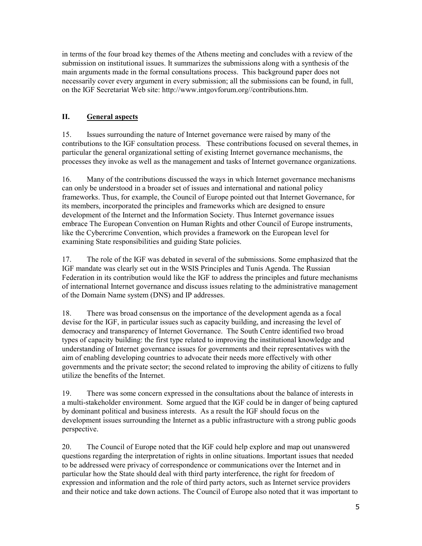in terms of the four broad key themes of the Athens meeting and concludes with a review of the submission on institutional issues. It summarizes the submissions along with a synthesis of the main arguments made in the formal consultations process. This background paper does not necessarily cover every argument in every submission; all the submissions can be found, in full, on the IGF Secretariat Web site: http://www.intgovforum.org//contributions.htm.

#### **II. General aspects**

15. Issues surrounding the nature of Internet governance were raised by many of the contributions to the IGF consultation process. These contributions focused on several themes, in particular the general organizational setting of existing Internet governance mechanisms, the processes they invoke as well as the management and tasks of Internet governance organizations.

16. Many of the contributions discussed the ways in which Internet governance mechanisms can only be understood in a broader set of issues and international and national policy frameworks. Thus, for example, the Council of Europe pointed out that Internet Governance, for its members, incorporated the principles and frameworks which are designed to ensure development of the Internet and the Information Society. Thus Internet governance issues embrace The European Convention on Human Rights and other Council of Europe instruments, like the Cybercrime Convention, which provides a framework on the European level for examining State responsibilities and guiding State policies.

17. The role of the IGF was debated in several of the submissions. Some emphasized that the IGF mandate was clearly set out in the WSIS Principles and Tunis Agenda. The Russian Federation in its contribution would like the IGF to address the principles and future mechanisms of international Internet governance and discuss issues relating to the administrative management of the Domain Name system (DNS) and IP addresses.

18. There was broad consensus on the importance of the development agenda as a focal devise for the IGF, in particular issues such as capacity building, and increasing the level of democracy and transparency of Internet Governance. The South Centre identified two broad types of capacity building: the first type related to improving the institutional knowledge and understanding of Internet governance issues for governments and their representatives with the aim of enabling developing countries to advocate their needs more effectively with other governments and the private sector; the second related to improving the ability of citizens to fully utilize the benefits of the Internet.

19. There was some concern expressed in the consultations about the balance of interests in a multi-stakeholder environment. Some argued that the IGF could be in danger of being captured by dominant political and business interests. As a result the IGF should focus on the development issues surrounding the Internet as a public infrastructure with a strong public goods perspective.

20. The Council of Europe noted that the IGF could help explore and map out unanswered questions regarding the interpretation of rights in online situations. Important issues that needed to be addressed were privacy of correspondence or communications over the Internet and in particular how the State should deal with third party interference, the right for freedom of expression and information and the role of third party actors, such as Internet service providers and their notice and take down actions. The Council of Europe also noted that it was important to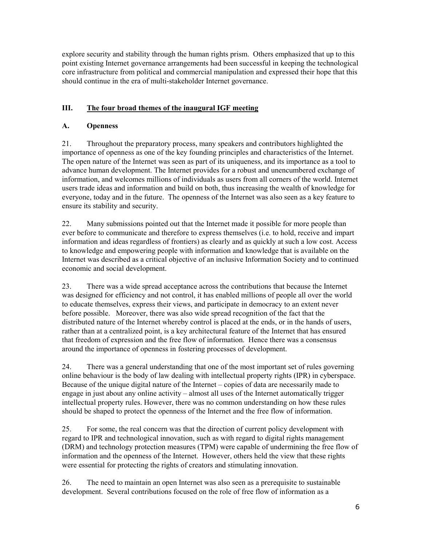explore security and stability through the human rights prism. Others emphasized that up to this point existing Internet governance arrangements had been successful in keeping the technological core infrastructure from political and commercial manipulation and expressed their hope that this should continue in the era of multi-stakeholder Internet governance.

#### **III. The four broad themes of the inaugural IGF meeting**

#### **A. Openness**

21. Throughout the preparatory process, many speakers and contributors highlighted the importance of openness as one of the key founding principles and characteristics of the Internet. The open nature of the Internet was seen as part of its uniqueness, and its importance as a tool to advance human development. The Internet provides for a robust and unencumbered exchange of information, and welcomes millions of individuals as users from all corners of the world. Internet users trade ideas and information and build on both, thus increasing the wealth of knowledge for everyone, today and in the future. The openness of the Internet was also seen as a key feature to ensure its stability and security.

22. Many submissions pointed out that the Internet made it possible for more people than ever before to communicate and therefore to express themselves (i.e. to hold, receive and impart information and ideas regardless of frontiers) as clearly and as quickly at such a low cost. Access to knowledge and empowering people with information and knowledge that is available on the Internet was described as a critical objective of an inclusive Information Society and to continued economic and social development.

23. There was a wide spread acceptance across the contributions that because the Internet was designed for efficiency and not control, it has enabled millions of people all over the world to educate themselves, express their views, and participate in democracy to an extent never before possible. Moreover, there was also wide spread recognition of the fact that the distributed nature of the Internet whereby control is placed at the ends, or in the hands of users, rather than at a centralized point, is a key architectural feature of the Internet that has ensured that freedom of expression and the free flow of information. Hence there was a consensus around the importance of openness in fostering processes of development.

24. There was a general understanding that one of the most important set of rules governing online behaviour is the body of law dealing with intellectual property rights (IPR) in cyberspace. Because of the unique digital nature of the Internet – copies of data are necessarily made to engage in just about any online activity – almost all uses of the Internet automatically trigger intellectual property rules. However, there was no common understanding on how these rules should be shaped to protect the openness of the Internet and the free flow of information.

25. For some, the real concern was that the direction of current policy development with regard to IPR and technological innovation, such as with regard to digital rights management (DRM) and technology protection measures (TPM) were capable of undermining the free flow of information and the openness of the Internet. However, others held the view that these rights were essential for protecting the rights of creators and stimulating innovation.

26. The need to maintain an open Internet was also seen as a prerequisite to sustainable development. Several contributions focused on the role of free flow of information as a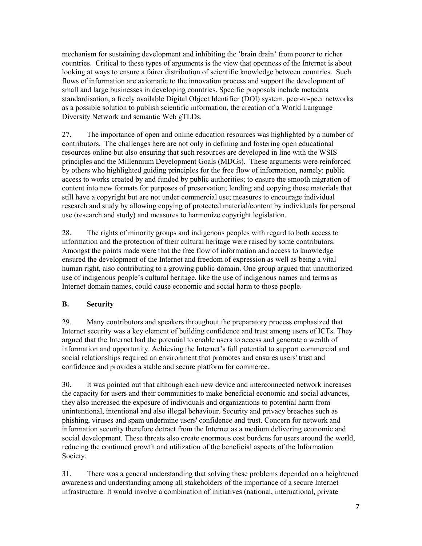mechanism for sustaining development and inhibiting the 'brain drain' from poorer to richer countries. Critical to these types of arguments is the view that openness of the Internet is about looking at ways to ensure a fairer distribution of scientific knowledge between countries. Such flows of information are axiomatic to the innovation process and support the development of small and large businesses in developing countries. Specific proposals include metadata standardisation, a freely available Digital Object Identifier (DOI) system, peer-to-peer networks as a possible solution to publish scientific information, the creation of a World Language Diversity Network and semantic Web gTLDs.

27. The importance of open and online education resources was highlighted by a number of contributors. The challenges here are not only in defining and fostering open educational resources online but also ensuring that such resources are developed in line with the WSIS principles and the Millennium Development Goals (MDGs). These arguments were reinforced by others who highlighted guiding principles for the free flow of information, namely: public access to works created by and funded by public authorities; to ensure the smooth migration of content into new formats for purposes of preservation; lending and copying those materials that still have a copyright but are not under commercial use; measures to encourage individual research and study by allowing copying of protected material/content by individuals for personal use (research and study) and measures to harmonize copyright legislation.

28. The rights of minority groups and indigenous peoples with regard to both access to information and the protection of their cultural heritage were raised by some contributors. Amongst the points made were that the free flow of information and access to knowledge ensured the development of the Internet and freedom of expression as well as being a vital human right, also contributing to a growing public domain. One group argued that unauthorized use of indigenous people's cultural heritage, like the use of indigenous names and terms as Internet domain names, could cause economic and social harm to those people.

#### **B. Security**

29. Many contributors and speakers throughout the preparatory process emphasized that Internet security was a key element of building confidence and trust among users of ICTs. They argued that the Internet had the potential to enable users to access and generate a wealth of information and opportunity. Achieving the Internet's full potential to support commercial and social relationships required an environment that promotes and ensures users' trust and confidence and provides a stable and secure platform for commerce.

30. It was pointed out that although each new device and interconnected network increases the capacity for users and their communities to make beneficial economic and social advances, they also increased the exposure of individuals and organizations to potential harm from unintentional, intentional and also illegal behaviour. Security and privacy breaches such as phishing, viruses and spam undermine users' confidence and trust. Concern for network and information security therefore detract from the Internet as a medium delivering economic and social development. These threats also create enormous cost burdens for users around the world, reducing the continued growth and utilization of the beneficial aspects of the Information Society.

31. There was a general understanding that solving these problems depended on a heightened awareness and understanding among all stakeholders of the importance of a secure Internet infrastructure. It would involve a combination of initiatives (national, international, private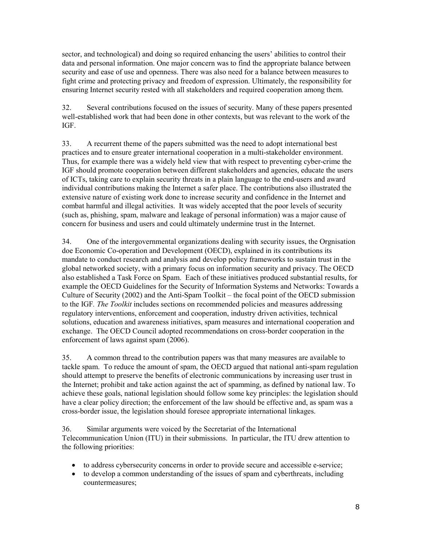sector, and technological) and doing so required enhancing the users' abilities to control their data and personal information. One major concern was to find the appropriate balance between security and ease of use and openness. There was also need for a balance between measures to fight crime and protecting privacy and freedom of expression. Ultimately, the responsibility for ensuring Internet security rested with all stakeholders and required cooperation among them.

32. Several contributions focused on the issues of security. Many of these papers presented well-established work that had been done in other contexts, but was relevant to the work of the IGF.

33. A recurrent theme of the papers submitted was the need to adopt international best practices and to ensure greater international cooperation in a multi-stakeholder environment. Thus, for example there was a widely held view that with respect to preventing cyber-crime the IGF should promote cooperation between different stakeholders and agencies, educate the users of ICTs, taking care to explain security threats in a plain language to the end-users and award individual contributions making the Internet a safer place. The contributions also illustrated the extensive nature of existing work done to increase security and confidence in the Internet and combat harmful and illegal activities. It was widely accepted that the poor levels of security (such as, phishing, spam, malware and leakage of personal information) was a major cause of concern for business and users and could ultimately undermine trust in the Internet.

34. One of the intergovernmental organizations dealing with security issues, the Orgnisation doe Economic Co-operation and Development (OECD), explained in its contributions its mandate to conduct research and analysis and develop policy frameworks to sustain trust in the global networked society, with a primary focus on information security and privacy. The OECD also established a Task Force on Spam. Each of these initiatives produced substantial results, for example the OECD Guidelines for the Security of Information Systems and Networks: Towards a Culture of Security (2002) and the Anti-Spam Toolkit – the focal point of the OECD submission to the IGF*. The Toolkit* includes sections on recommended policies and measures addressing regulatory interventions, enforcement and cooperation, industry driven activities, technical solutions, education and awareness initiatives, spam measures and international cooperation and exchange. The OECD Council adopted recommendations on cross-border cooperation in the enforcement of laws against spam (2006).

35. A common thread to the contribution papers was that many measures are available to tackle spam. To reduce the amount of spam, the OECD argued that national anti-spam regulation should attempt to preserve the benefits of electronic communications by increasing user trust in the Internet; prohibit and take action against the act of spamming, as defined by national law. To achieve these goals, national legislation should follow some key principles: the legislation should have a clear policy direction; the enforcement of the law should be effective and, as spam was a cross-border issue, the legislation should foresee appropriate international linkages.

36. Similar arguments were voiced by the Secretariat of the International Telecommunication Union (ITU) in their submissions. In particular, the ITU drew attention to the following priorities:

- to address cybersecurity concerns in order to provide secure and accessible e-service;
- to develop a common understanding of the issues of spam and cyberthreats, including countermeasures;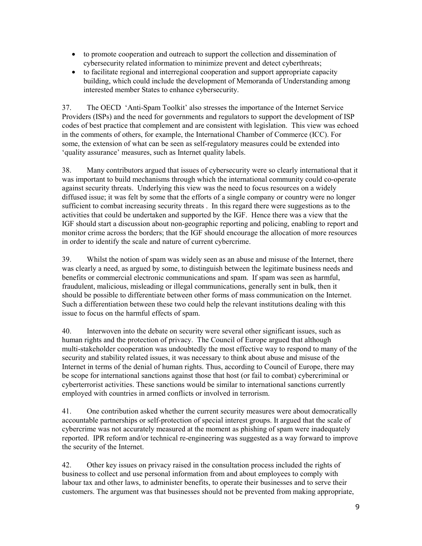- · to promote cooperation and outreach to support the collection and dissemination of cybersecurity related information to minimize prevent and detect cyberthreats;
- to facilitate regional and interregional cooperation and support appropriate capacity building, which could include the development of Memoranda of Understanding among interested member States to enhance cybersecurity.

37. The OECD 'Anti-Spam Toolkit' also stresses the importance of the Internet Service Providers (ISPs) and the need for governments and regulators to support the development of ISP codes of best practice that complement and are consistent with legislation. This view was echoed in the comments of others, for example, the International Chamber of Commerce (ICC). For some, the extension of what can be seen as self-regulatory measures could be extended into 'quality assurance' measures, such as Internet quality labels.

38. Many contributors argued that issues of cybersecurity were so clearly international that it was important to build mechanisms through which the international community could co-operate against security threats. Underlying this view was the need to focus resources on a widely diffused issue; it was felt by some that the efforts of a single company or country were no longer sufficient to combat increasing security threats . In this regard there were suggestions as to the activities that could be undertaken and supported by the IGF. Hence there was a view that the IGF should start a discussion about non-geographic reporting and policing, enabling to report and monitor crime across the borders; that the IGF should encourage the allocation of more resources in order to identify the scale and nature of current cybercrime.

39. Whilst the notion of spam was widely seen as an abuse and misuse of the Internet, there was clearly a need, as argued by some, to distinguish between the legitimate business needs and benefits or commercial electronic communications and spam. If spam was seen as harmful, fraudulent, malicious, misleading or illegal communications, generally sent in bulk, then it should be possible to differentiate between other forms of mass communication on the Internet. Such a differentiation between these two could help the relevant institutions dealing with this issue to focus on the harmful effects of spam.

40. Interwoven into the debate on security were several other significant issues, such as human rights and the protection of privacy. The Council of Europe argued that although multi-stakeholder cooperation was undoubtedly the most effective way to respond to many of the security and stability related issues, it was necessary to think about abuse and misuse of the Internet in terms of the denial of human rights. Thus, according to Council of Europe, there may be scope for international sanctions against those that host (or fail to combat) cybercriminal or cyberterrorist activities. These sanctions would be similar to international sanctions currently employed with countries in armed conflicts or involved in terrorism.

41. One contribution asked whether the current security measures were about democratically accountable partnerships or self-protection of special interest groups. It argued that the scale of cybercrime was not accurately measured at the moment as phishing of spam were inadequately reported. IPR reform and/or technical re-engineering was suggested as a way forward to improve the security of the Internet.

42. Other key issues on privacy raised in the consultation process included the rights of business to collect and use personal information from and about employees to comply with labour tax and other laws, to administer benefits, to operate their businesses and to serve their customers. The argument was that businesses should not be prevented from making appropriate,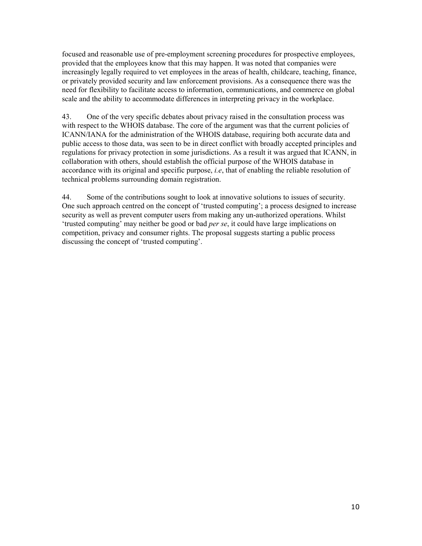focused and reasonable use of pre-employment screening procedures for prospective employees, provided that the employees know that this may happen. It was noted that companies were increasingly legally required to vet employees in the areas of health, childcare, teaching, finance, or privately provided security and law enforcement provisions. As a consequence there was the need for flexibility to facilitate access to information, communications, and commerce on global scale and the ability to accommodate differences in interpreting privacy in the workplace.

43. One of the very specific debates about privacy raised in the consultation process was with respect to the WHOIS database. The core of the argument was that the current policies of ICANN/IANA for the administration of the WHOIS database, requiring both accurate data and public access to those data, was seen to be in direct conflict with broadly accepted principles and regulations for privacy protection in some jurisdictions. As a result it was argued that ICANN, in collaboration with others, should establish the official purpose of the WHOIS database in accordance with its original and specific purpose, *i.e*, that of enabling the reliable resolution of technical problems surrounding domain registration.

44. Some of the contributions sought to look at innovative solutions to issues of security. One such approach centred on the concept of 'trusted computing'; a process designed to increase security as well as prevent computer users from making any un-authorized operations. Whilst 'trusted computing' may neither be good or bad *per se*, it could have large implications on competition, privacy and consumer rights. The proposal suggests starting a public process discussing the concept of 'trusted computing'.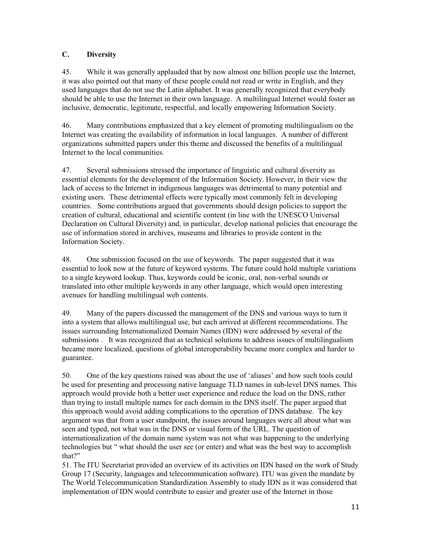#### **C. Diversity**

45. While it was generally applauded that by now almost one billion people use the Internet, it was also pointed out that many of these people could not read or write in English, and they used languages that do not use the Latin alphabet. It was generally recognized that everybody should be able to use the Internet in their own language. A multilingual Internet would foster an inclusive, democratic, legitimate, respectful, and locally empowering Information Society.

46. Many contributions emphasized that a key element of promoting multilingualism on the Internet was creating the availability of information in local languages. A number of different organizations submitted papers under this theme and discussed the benefits of a multilingual Internet to the local communities.

47. Several submissions stressed the importance of linguistic and cultural diversity as essential elements for the development of the Information Society. However, in their view the lack of access to the Internet in indigenous languages was detrimental to many potential and existing users. These detrimental effects were typically most commonly felt in developing countries. Some contributions argued that governments should design policies to support the creation of cultural, educational and scientific content (in line with the UNESCO Universal Declaration on Cultural Diversity) and, in particular, develop national policies that encourage the use of information stored in archives, museums and libraries to provide content in the Information Society.

48. One submission focused on the use of keywords. The paper suggested that it was essential to look now at the future of keyword systems. The future could hold multiple variations to a single keyword lookup. Thus, keywords could be iconic, oral, non-verbal sounds or translated into other multiple keywords in any other language, which would open interesting avenues for handling multilingual web contents.

49. Many of the papers discussed the management of the DNS and various ways to turn it into a system that allows multilingual use, but each arrived at different recommendations. The issues surrounding Internationalized Domain Names (IDN) were addressed by several of the submissions . It was recognized that as technical solutions to address issues of multilingualism became more localized, questions of global interoperability became more complex and harder to guarantee.

50. One of the key questions raised was about the use of 'aliases' and how such tools could be used for presenting and processing native language TLD names in sub-level DNS names. This approach would provide both a better user experience and reduce the load on the DNS, rather than trying to install multiple names for each domain in the DNS itself. The paper argued that this approach would avoid adding complications to the operation of DNS database. The key argument was that from a user standpoint, the issues around languages were all about what was seen and typed, not what was in the DNS or visual form of the URL. The question of internationalization of the domain name system was not what was happening to the underlying technologies but " what should the user see (or enter) and what was the best way to accomplish that?"

51. The ITU Secretariat provided an overview of its activities on IDN based on the work of Study Group 17 (Security, languages and telecommunication software). ITU was given the mandate by The World Telecommunication Standardization Assembly to study IDN as it was considered that implementation of IDN would contribute to easier and greater use of the Internet in those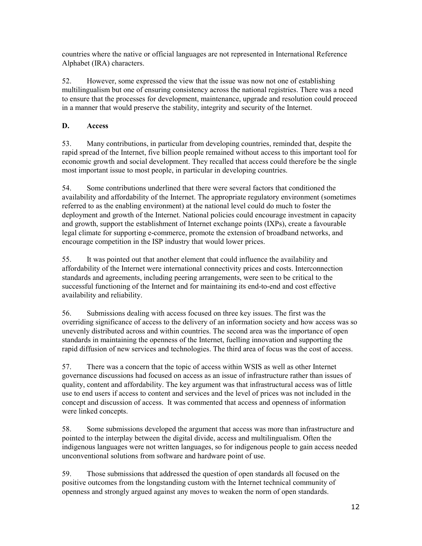countries where the native or official languages are not represented in International Reference Alphabet (IRA) characters.

52. However, some expressed the view that the issue was now not one of establishing multilingualism but one of ensuring consistency across the national registries. There was a need to ensure that the processes for development, maintenance, upgrade and resolution could proceed in a manner that would preserve the stability, integrity and security of the Internet.

#### **D. Access**

53. Many contributions, in particular from developing countries, reminded that, despite the rapid spread of the Internet, five billion people remained without access to this important tool for economic growth and social development. They recalled that access could therefore be the single most important issue to most people, in particular in developing countries.

54. Some contributions underlined that there were several factors that conditioned the availability and affordability of the Internet. The appropriate regulatory environment (sometimes referred to as the enabling environment) at the national level could do much to foster the deployment and growth of the Internet. National policies could encourage investment in capacity and growth, support the establishment of Internet exchange points (IXPs), create a favourable legal climate for supporting e-commerce, promote the extension of broadband networks, and encourage competition in the ISP industry that would lower prices.

55. It was pointed out that another element that could influence the availability and affordability of the Internet were international connectivity prices and costs. Interconnection standards and agreements, including peering arrangements, were seen to be critical to the successful functioning of the Internet and for maintaining its end-to-end and cost effective availability and reliability.

56. Submissions dealing with access focused on three key issues. The first was the overriding significance of access to the delivery of an information society and how access was so unevenly distributed across and within countries. The second area was the importance of open standards in maintaining the openness of the Internet, fuelling innovation and supporting the rapid diffusion of new services and technologies. The third area of focus was the cost of access.

57. There was a concern that the topic of access within WSIS as well as other Internet governance discussions had focused on access as an issue of infrastructure rather than issues of quality, content and affordability. The key argument was that infrastructural access was of little use to end users if access to content and services and the level of prices was not included in the concept and discussion of access. It was commented that access and openness of information were linked concepts.

58. Some submissions developed the argument that access was more than infrastructure and pointed to the interplay between the digital divide, access and multilingualism. Often the indigenous languages were not written languages, so for indigenous people to gain access needed unconventional solutions from software and hardware point of use.

59. Those submissions that addressed the question of open standards all focused on the positive outcomes from the longstanding custom with the Internet technical community of openness and strongly argued against any moves to weaken the norm of open standards.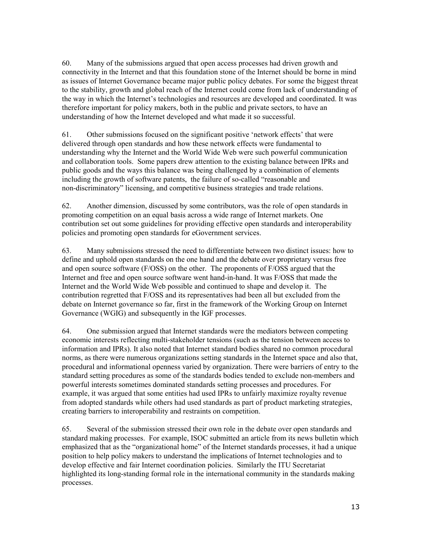60. Many of the submissions argued that open access processes had driven growth and connectivity in the Internet and that this foundation stone of the Internet should be borne in mind as issues of Internet Governance became major public policy debates. For some the biggest threat to the stability, growth and global reach of the Internet could come from lack of understanding of the way in which the Internet's technologies and resources are developed and coordinated. It was therefore important for policy makers, both in the public and private sectors, to have an understanding of how the Internet developed and what made it so successful.

61. Other submissions focused on the significant positive 'network effects' that were delivered through open standards and how these network effects were fundamental to understanding why the Internet and the World Wide Web were such powerful communication and collaboration tools. Some papers drew attention to the existing balance between IPRs and public goods and the ways this balance was being challenged by a combination of elements including the growth of software patents, the failure of so-called "reasonable and non-discriminatory" licensing, and competitive business strategies and trade relations.

62. Another dimension, discussed by some contributors, was the role of open standards in promoting competition on an equal basis across a wide range of Internet markets. One contribution set out some guidelines for providing effective open standards and interoperability policies and promoting open standards for eGovernment services.

63. Many submissions stressed the need to differentiate between two distinct issues: how to define and uphold open standards on the one hand and the debate over proprietary versus free and open source software (F/OSS) on the other. The proponents of F/OSS argued that the Internet and free and open source software went hand-in-hand. It was F/OSS that made the Internet and the World Wide Web possible and continued to shape and develop it. The contribution regretted that F/OSS and its representatives had been all but excluded from the debate on Internet governance so far, first in the framework of the Working Group on Internet Governance (WGIG) and subsequently in the IGF processes.

64. One submission argued that Internet standards were the mediators between competing economic interests reflecting multi-stakeholder tensions (such as the tension between access to information and IPRs). It also noted that Internet standard bodies shared no common procedural norms, as there were numerous organizations setting standards in the Internet space and also that, procedural and informational openness varied by organization. There were barriers of entry to the standard setting procedures as some of the standards bodies tended to exclude non-members and powerful interests sometimes dominated standards setting processes and procedures. For example, it was argued that some entities had used IPRs to unfairly maximize royalty revenue from adopted standards while others had used standards as part of product marketing strategies, creating barriers to interoperability and restraints on competition.

65. Several of the submission stressed their own role in the debate over open standards and standard making processes. For example, ISOC submitted an article from its news bulletin which emphasized that as the "organizational home" of the Internet standards processes, it had a unique position to help policy makers to understand the implications of Internet technologies and to develop effective and fair Internet coordination policies. Similarly the ITU Secretariat highlighted its long-standing formal role in the international community in the standards making processes.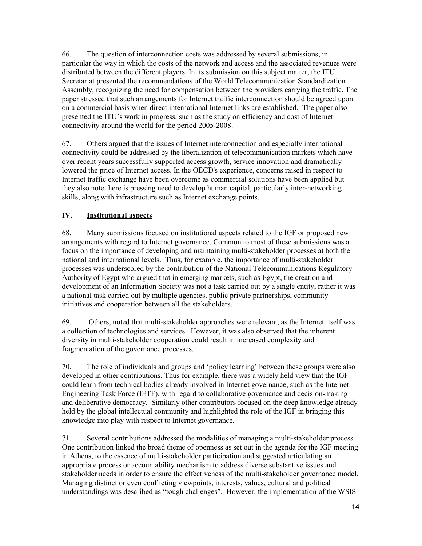66. The question of interconnection costs was addressed by several submissions, in particular the way in which the costs of the network and access and the associated revenues were distributed between the different players. In its submission on this subject matter, the ITU Secretariat presented the recommendations of the World Telecommunication Standardization Assembly, recognizing the need for compensation between the providers carrying the traffic. The paper stressed that such arrangements for Internet traffic interconnection should be agreed upon on a commercial basis when direct international Internet links are established. The paper also presented the ITU's work in progress, such as the study on efficiency and cost of Internet connectivity around the world for the period 2005-2008.

67. Others argued that the issues of Internet interconnection and especially international connectivity could be addressed by the liberalization of telecommunication markets which have over recent years successfully supported access growth, service innovation and dramatically lowered the price of Internet access. In the OECD's experience, concerns raised in respect to Internet traffic exchange have been overcome as commercial solutions have been applied but they also note there is pressing need to develop human capital, particularly inter-networking skills, along with infrastructure such as Internet exchange points.

#### **IV. Institutional aspects**

68. Many submissions focused on institutional aspects related to the IGF or proposed new arrangements with regard to Internet governance. Common to most of these submissions was a focus on the importance of developing and maintaining multi-stakeholder processes at both the national and international levels. Thus, for example, the importance of multi-stakeholder processes was underscored by the contribution of the National Telecommunications Regulatory Authority of Egypt who argued that in emerging markets, such as Egypt, the creation and development of an Information Society was not a task carried out by a single entity, rather it was a national task carried out by multiple agencies, public private partnerships, community initiatives and cooperation between all the stakeholders.

69. Others, noted that multi-stakeholder approaches were relevant, as the Internet itself was a collection of technologies and services. However, it was also observed that the inherent diversity in multi-stakeholder cooperation could result in increased complexity and fragmentation of the governance processes.

70. The role of individuals and groups and 'policy learning' between these groups were also developed in other contributions. Thus for example, there was a widely held view that the IGF could learn from technical bodies already involved in Internet governance, such as the Internet Engineering Task Force (IETF), with regard to collaborative governance and decision-making and deliberative democracy. Similarly other contributors focused on the deep knowledge already held by the global intellectual community and highlighted the role of the IGF in bringing this knowledge into play with respect to Internet governance.

71. Several contributions addressed the modalities of managing a multi-stakeholder process. One contribution linked the broad theme of openness as set out in the agenda for the IGF meeting in Athens, to the essence of multi-stakeholder participation and suggested articulating an appropriate process or accountability mechanism to address diverse substantive issues and stakeholder needs in order to ensure the effectiveness of the multi-stakeholder governance model. Managing distinct or even conflicting viewpoints, interests, values, cultural and political understandings was described as "tough challenges". However, the implementation of the WSIS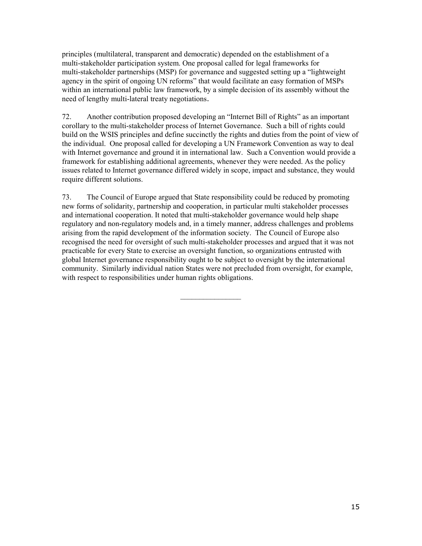principles (multilateral, transparent and democratic) depended on the establishment of a multi-stakeholder participation system. One proposal called for legal frameworks for multi-stakeholder partnerships (MSP) for governance and suggested setting up a "lightweight agency in the spirit of ongoing UN reforms" that would facilitate an easy formation of MSPs within an international public law framework, by a simple decision of its assembly without the need of lengthy multi-lateral treaty negotiations.

72. Another contribution proposed developing an "Internet Bill of Rights" as an important corollary to the multi-stakeholder process of Internet Governance. Such a bill of rights could build on the WSIS principles and define succinctly the rights and duties from the point of view of the individual. One proposal called for developing a UN Framework Convention as way to deal with Internet governance and ground it in international law. Such a Convention would provide a framework for establishing additional agreements, whenever they were needed. As the policy issues related to Internet governance differed widely in scope, impact and substance, they would require different solutions.

73. The Council of Europe argued that State responsibility could be reduced by promoting new forms of solidarity, partnership and cooperation, in particular multi stakeholder processes and international cooperation. It noted that multi-stakeholder governance would help shape regulatory and non-regulatory models and, in a timely manner, address challenges and problems arising from the rapid development of the information society. The Council of Europe also recognised the need for oversight of such multi-stakeholder processes and argued that it was not practicable for every State to exercise an oversight function, so organizations entrusted with global Internet governance responsibility ought to be subject to oversight by the international community. Similarly individual nation States were not precluded from oversight, for example, with respect to responsibilities under human rights obligations.

 $\mathcal{L}_\text{max}$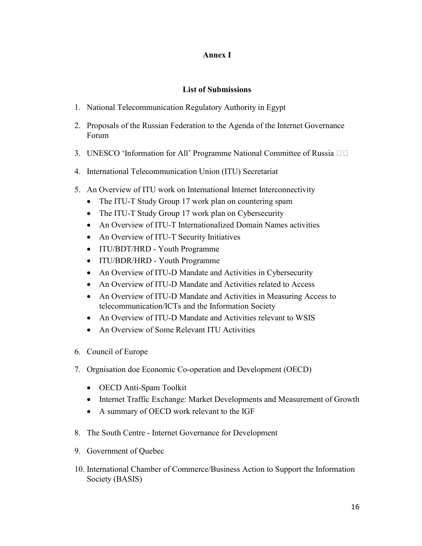#### **Annex I**

### **List of Submissions**

- 1. National Telecommunication Regulatory Authority in Egypt
- 2. Proposals of the Russian Federation to the Agenda of the Internet Governance Forum
- 3. UNESCO 'Information for All' Programme National Committee of Russia  $\square$
- 4. International Telecommunication Union (ITU) Secretariat
- 5. An Overview of ITU work on International Internet Interconnectivity
	- The ITU-T Study Group 17 work plan on countering spam
	- The ITU-T Study Group 17 work plan on Cybersecurity
	- · An Overview of ITU-T Internationalized Domain Names activities
	- An Overview of ITU-T Security Initiatives
	- · ITU/BDT/HRD Youth Programme
	- · ITU/BDR/HRD Youth Programme
	- An Overview of ITU-D Mandate and Activities in Cybersecurity
	- An Overview of ITU-D Mandate and Activities related to Access
	- An Overview of ITU-D Mandate and Activities in Measuring Access to telecommunication/ICTs and the Information Society
	- An Overview of ITU-D Mandate and Activities relevant to WSIS
	- An Overview of Some Relevant ITU Activities
- 6. Council of Europe
- 7. Orgnisation doe Economic Co-operation and Development (OECD)
	- · OECD Anti-Spam Toolkit
	- · Internet Traffic Exchange: Market Developments and Measurement of Growth
	- · A summary of OECD work relevant to the IGF
- 8. The South Centre Internet Governance for Development
- 9. Government of Quebec
- 10. International Chamber of Commerce/Business Action to Support the Information Society (BASIS)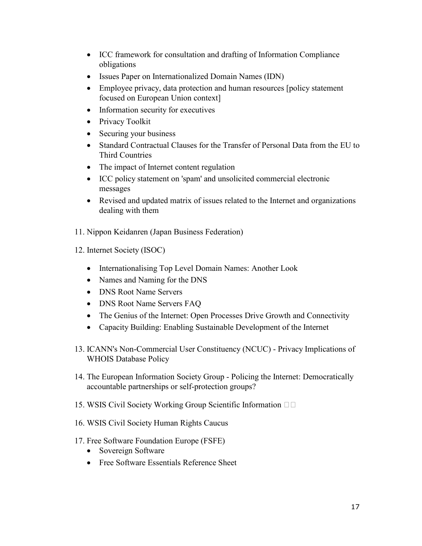- · ICC framework for consultation and drafting of Information Compliance obligations
- · Issues Paper on Internationalized Domain Names (IDN)
- Employee privacy, data protection and human resources [policy statement] focused on European Union context]
- Information security for executives
- Privacy Toolkit
- Securing your business
- · Standard Contractual Clauses for the Transfer of Personal Data from the EU to Third Countries
- The impact of Internet content regulation
- · ICC policy statement on 'spam' and unsolicited commercial electronic messages
- · Revised and updated matrix of issues related to the Internet and organizations dealing with them
- 11. Nippon Keidanren (Japan Business Federation)
- 12. Internet Society (ISOC)
	- Internationalising Top Level Domain Names: Another Look
	- Names and Naming for the DNS
	- · DNS Root Name Servers
	- · DNS Root Name Servers FAQ
	- The Genius of the Internet: Open Processes Drive Growth and Connectivity
	- · Capacity Building: Enabling Sustainable Development of the Internet
- 13. ICANN's Non-Commercial User Constituency (NCUC) Privacy Implications of WHOIS Database Policy
- 14. The European Information Society Group Policing the Internet: Democratically accountable partnerships or self-protection groups?
- 15. WSIS Civil Society Working Group Scientific Information  $\square$
- 16. WSIS Civil Society Human Rights Caucus
- 17. Free Software Foundation Europe (FSFE)
	- Sovereign Software
	- Free Software Essentials Reference Sheet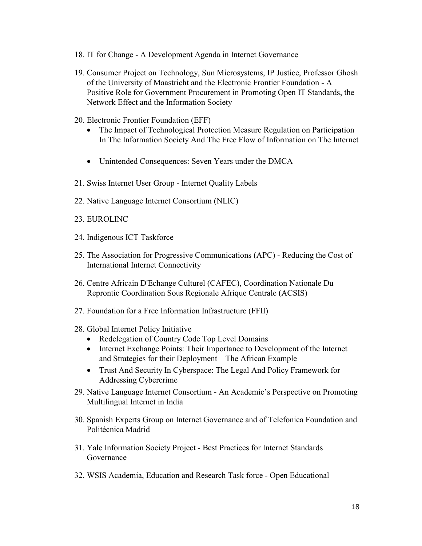- 18. IT for Change A Development Agenda in Internet Governance
- 19. Consumer Project on Technology, Sun Microsystems, IP Justice, Professor Ghosh of the University of Maastricht and the Electronic Frontier Foundation - A Positive Role for Government Procurement in Promoting Open IT Standards, the Network Effect and the Information Society
- 20. Electronic Frontier Foundation (EFF)
	- · The Impact of Technological Protection Measure Regulation on Participation In The Information Society And The Free Flow of Information on The Internet
	- Unintended Consequences: Seven Years under the DMCA
- 21. Swiss Internet User Group Internet Quality Labels
- 22. Native Language Internet Consortium (NLIC)
- 23. EUROLINC
- 24. Indigenous ICT Taskforce
- 25. The Association for Progressive Communications (APC) Reducing the Cost of International Internet Connectivity
- 26. Centre Africain D'Echange Culturel (CAFEC), Coordination Nationale Du Reprontic Coordination Sous Regionale Afrique Centrale (ACSIS)
- 27. Foundation for a Free Information Infrastructure (FFII)
- 28. Global Internet Policy Initiative
	- · Redelegation of Country Code Top Level Domains
	- · Internet Exchange Points: Their Importance to Development of the Internet and Strategies for their Deployment – The African Example
	- Trust And Security In Cyberspace: The Legal And Policy Framework for Addressing Cybercrime
- 29. Native Language Internet Consortium An Academic's Perspective on Promoting Multilingual Internet in India
- 30. Spanish Experts Group on Internet Governance and of Telefonica Foundation and Politécnica Madrid
- 31. Yale Information Society Project Best Practices for Internet Standards Governance
- 32. WSIS Academia, Education and Research Task force Open Educational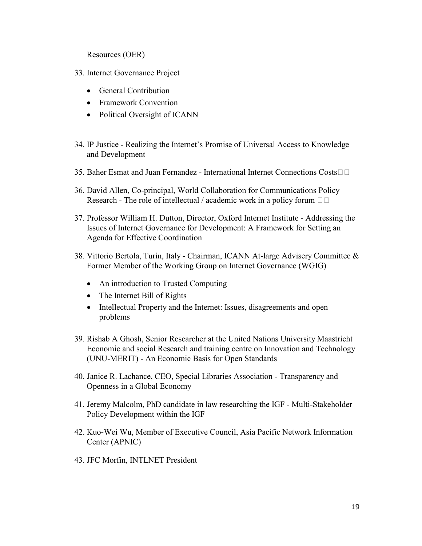Resources (OER)

- 33. Internet Governance Project
	- General Contribution
	- · Framework Convention
	- Political Oversight of ICANN
- 34. IP Justice Realizing the Internet's Promise of Universal Access to Knowledge and Development
- 35. Baher Esmat and Juan Fernandez International Internet Connections Costs
- 36. David Allen, Co-principal, World Collaboration for Communications Policy Research - The role of intellectual / academic work in a policy forum  $\Box$
- 37. Professor William H. Dutton, Director, Oxford Internet Institute Addressing the Issues of Internet Governance for Development: A Framework for Setting an Agenda for Effective Coordination
- 38. Vittorio Bertola, Turin, Italy Chairman, ICANN At-large Advisery Committee & Former Member of the Working Group on Internet Governance (WGIG)
	- An introduction to Trusted Computing
	- The Internet Bill of Rights
	- Intellectual Property and the Internet: Issues, disagreements and open problems
- 39. Rishab A Ghosh, Senior Researcher at the United Nations University Maastricht Economic and social Research and training centre on Innovation and Technology (UNU-MERIT) - An Economic Basis for Open Standards
- 40. Janice R. Lachance, CEO, Special Libraries Association Transparency and Openness in a Global Economy
- 41. Jeremy Malcolm, PhD candidate in law researching the IGF Multi-Stakeholder Policy Development within the IGF
- 42. Kuo-Wei Wu, Member of Executive Council, Asia Pacific Network Information Center (APNIC)
- 43. JFC Morfin, INTLNET President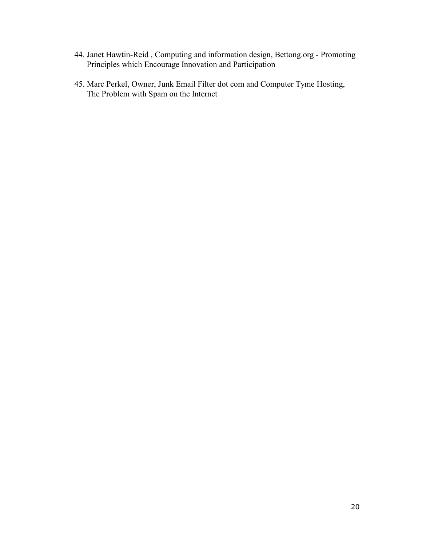- 44. Janet Hawtin-Reid, Computing and information design, Bettong.org Promoting Principles which Encourage Innovation and Participation
- 45. Marc Perkel, Owner, Junk Email Filter dot com and Computer Tyme Hosting, The Problem with Spam on the Internet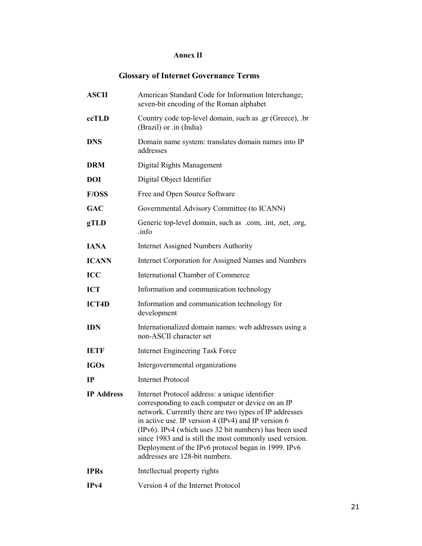## **Annex II**

## **Glossary of Internet Governance Terms**

| <b>ASCII</b>      | American Standard Code for Information Interchange;<br>seven-bit encoding of the Roman alphabet                                                                                                                                                                                                                                                                                                                                      |
|-------------------|--------------------------------------------------------------------------------------------------------------------------------------------------------------------------------------------------------------------------------------------------------------------------------------------------------------------------------------------------------------------------------------------------------------------------------------|
| ccTLD             | Country code top-level domain, such as .gr (Greece), .br<br>(Brazil) or .in (India)                                                                                                                                                                                                                                                                                                                                                  |
| <b>DNS</b>        | Domain name system: translates domain names into IP<br>addresses                                                                                                                                                                                                                                                                                                                                                                     |
| <b>DRM</b>        | Digital Rights Management                                                                                                                                                                                                                                                                                                                                                                                                            |
| <b>DOI</b>        | Digital Object Identifier                                                                                                                                                                                                                                                                                                                                                                                                            |
| <b>F/OSS</b>      | Free and Open Source Software                                                                                                                                                                                                                                                                                                                                                                                                        |
| <b>GAC</b>        | Governmental Advisory Committee (to ICANN)                                                                                                                                                                                                                                                                                                                                                                                           |
| gTLD              | Generic top-level domain, such as .com, .int, .net, .org,<br>.info                                                                                                                                                                                                                                                                                                                                                                   |
| <b>IANA</b>       | <b>Internet Assigned Numbers Authority</b>                                                                                                                                                                                                                                                                                                                                                                                           |
| <b>ICANN</b>      | Internet Corporation for Assigned Names and Numbers                                                                                                                                                                                                                                                                                                                                                                                  |
| <b>ICC</b>        | International Chamber of Commerce                                                                                                                                                                                                                                                                                                                                                                                                    |
| <b>ICT</b>        | Information and communication technology                                                                                                                                                                                                                                                                                                                                                                                             |
| <b>ICT4D</b>      | Information and communication technology for<br>development                                                                                                                                                                                                                                                                                                                                                                          |
| <b>IDN</b>        | Internationalized domain names: web addresses using a<br>non-ASCII character set                                                                                                                                                                                                                                                                                                                                                     |
| <b>IETF</b>       | <b>Internet Engineering Task Force</b>                                                                                                                                                                                                                                                                                                                                                                                               |
| <b>IGOs</b>       | Intergovernmental organizations                                                                                                                                                                                                                                                                                                                                                                                                      |
| <b>IP</b>         | <b>Internet Protocol</b>                                                                                                                                                                                                                                                                                                                                                                                                             |
| <b>IP</b> Address | Internet Protocol address: a unique identifier<br>corresponding to each computer or device on an IP<br>network. Currently there are two types of IP addresses<br>in active use. IP version $4$ (IPv4) and IP version 6<br>(IPv6). IPv4 (which uses 32 bit numbers) has been used<br>since 1983 and is still the most commonly used version.<br>Deployment of the IPv6 protocol began in 1999. IPv6<br>addresses are 128-bit numbers. |
| <b>IPRs</b>       | Intellectual property rights                                                                                                                                                                                                                                                                                                                                                                                                         |
| IPv4              | Version 4 of the Internet Protocol                                                                                                                                                                                                                                                                                                                                                                                                   |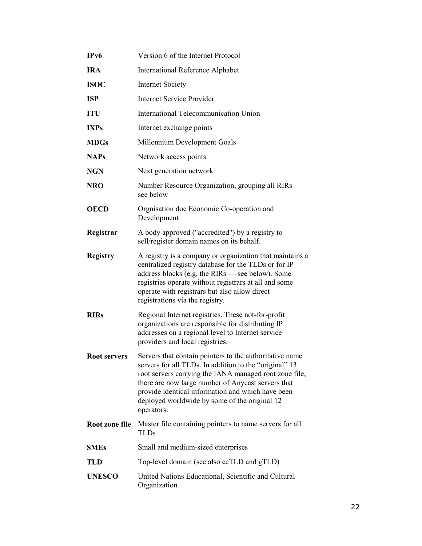| IP <sub>v</sub> 6   | Version 6 of the Internet Protocol                                                                                                                                                                                                                                                                                                                    |
|---------------------|-------------------------------------------------------------------------------------------------------------------------------------------------------------------------------------------------------------------------------------------------------------------------------------------------------------------------------------------------------|
| <b>IRA</b>          | <b>International Reference Alphabet</b>                                                                                                                                                                                                                                                                                                               |
| <b>ISOC</b>         | <b>Internet Society</b>                                                                                                                                                                                                                                                                                                                               |
| <b>ISP</b>          | <b>Internet Service Provider</b>                                                                                                                                                                                                                                                                                                                      |
| <b>ITU</b>          | International Telecommunication Union                                                                                                                                                                                                                                                                                                                 |
| <b>IXPs</b>         | Internet exchange points                                                                                                                                                                                                                                                                                                                              |
| <b>MDGs</b>         | Millennium Development Goals                                                                                                                                                                                                                                                                                                                          |
| <b>NAPs</b>         | Network access points                                                                                                                                                                                                                                                                                                                                 |
| <b>NGN</b>          | Next generation network                                                                                                                                                                                                                                                                                                                               |
| <b>NRO</b>          | Number Resource Organization, grouping all RIRs –<br>see below                                                                                                                                                                                                                                                                                        |
| <b>OECD</b>         | Orgnisation doe Economic Co-operation and<br>Development                                                                                                                                                                                                                                                                                              |
| Registrar           | A body approved ("accredited") by a registry to<br>sell/register domain names on its behalf.                                                                                                                                                                                                                                                          |
| <b>Registry</b>     | A registry is a company or organization that maintains a<br>centralized registry database for the TLDs or for IP<br>address blocks (e.g. the RIRs - see below). Some<br>registries operate without registrars at all and some<br>operate with registrars but also allow direct<br>registrations via the registry.                                     |
| <b>RIRs</b>         | Regional Internet registries. These not-for-profit<br>organizations are responsible for distributing IP<br>addresses on a regional level to Internet service<br>providers and local registries.                                                                                                                                                       |
| <b>Root servers</b> | Servers that contain pointers to the authoritative name<br>servers for all TLDs. In addition to the "original" 13<br>root servers carrying the IANA managed root zone file,<br>there are now large number of Anycast servers that<br>provide identical information and which have been<br>deployed worldwide by some of the original 12<br>operators. |
| Root zone file      | Master file containing pointers to name servers for all<br><b>TLDs</b>                                                                                                                                                                                                                                                                                |
| <b>SMEs</b>         | Small and medium-sized enterprises                                                                                                                                                                                                                                                                                                                    |
| <b>TLD</b>          | Top-level domain (see also ccTLD and gTLD)                                                                                                                                                                                                                                                                                                            |
| <b>UNESCO</b>       | United Nations Educational, Scientific and Cultural<br>Organization                                                                                                                                                                                                                                                                                   |